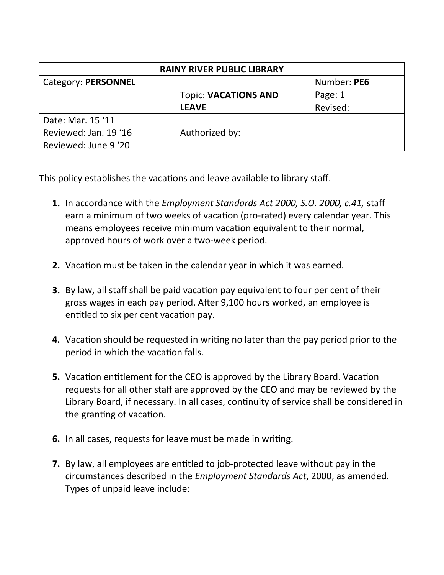| <b>RAINY RIVER PUBLIC LIBRARY</b> |                             |             |  |  |
|-----------------------------------|-----------------------------|-------------|--|--|
| Category: PERSONNEL               |                             | Number: PE6 |  |  |
|                                   | <b>Topic: VACATIONS AND</b> | Page: 1     |  |  |
|                                   | <b>LEAVE</b>                | Revised:    |  |  |
| Date: Mar. 15 '11                 |                             |             |  |  |
| Reviewed: Jan. 19'16              | Authorized by:              |             |  |  |
| Reviewed: June 9 '20              |                             |             |  |  |

This policy establishes the vacations and leave available to library staff.

- **1.** In accordance with the *Employment Standards Act 2000, S.O. 2000, c.41,* staff earn a minimum of two weeks of vacation (pro-rated) every calendar year. This means employees receive minimum vacation equivalent to their normal, approved hours of work over a two-week period.
- **2.** Vacation must be taken in the calendar year in which it was earned.
- **3.** By law, all staff shall be paid vacation pay equivalent to four per cent of their gross wages in each pay period. After 9,100 hours worked, an employee is entitled to six per cent vacation pay.
- **4.** Vacation should be requested in writing no later than the pay period prior to the period in which the vacation falls.
- **5.** Vacation entitlement for the CEO is approved by the Library Board. Vacation requests for all other staff are approved by the CEO and may be reviewed by the Library Board, if necessary. In all cases, continuity of service shall be considered in the granting of vacation.
- **6.** In all cases, requests for leave must be made in writing.
- **7.** By law, all employees are entitled to job-protected leave without pay in the circumstances described in the *Employment Standards Act*, 2000, as amended. Types of unpaid leave include: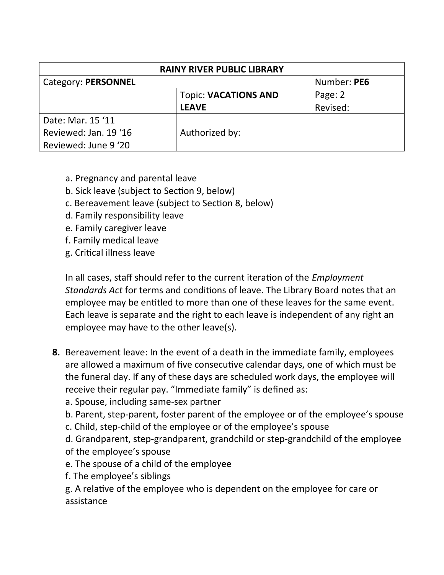| <b>RAINY RIVER PUBLIC LIBRARY</b> |                             |             |  |  |
|-----------------------------------|-----------------------------|-------------|--|--|
| Category: PERSONNEL               |                             | Number: PE6 |  |  |
|                                   | <b>Topic: VACATIONS AND</b> | Page: 2     |  |  |
|                                   | <b>LEAVE</b>                | Revised:    |  |  |
| Date: Mar. 15 '11                 |                             |             |  |  |
| Reviewed: Jan. 19 '16             | Authorized by:              |             |  |  |
| Reviewed: June 9 '20              |                             |             |  |  |

- a. Pregnancy and parental leave
- b. Sick leave (subject to Section 9, below)
- c. Bereavement leave (subject to Section 8, below)
- d. Family responsibility leave
- e. Family caregiver leave
- f. Family medical leave
- g. Critical illness leave

In all cases, staff should refer to the current iteration of the *Employment Standards Act* for terms and conditions of leave. The Library Board notes that an employee may be entitled to more than one of these leaves for the same event. Each leave is separate and the right to each leave is independent of any right an employee may have to the other leave(s).

- **8.** Bereavement leave: In the event of a death in the immediate family, employees are allowed a maximum of five consecutive calendar days, one of which must be the funeral day. If any of these days are scheduled work days, the employee will receive their regular pay. "Immediate family" is defined as:
	- a. Spouse, including same-sex partner
	- b. Parent, step-parent, foster parent of the employee or of the employee's spouse
	- c. Child, step-child of the employee or of the employee's spouse
	- d. Grandparent, step-grandparent, grandchild or step-grandchild of the employee of the employee's spouse
	- e. The spouse of a child of the employee
	- f. The employee's siblings
	- g. A relative of the employee who is dependent on the employee for care or assistance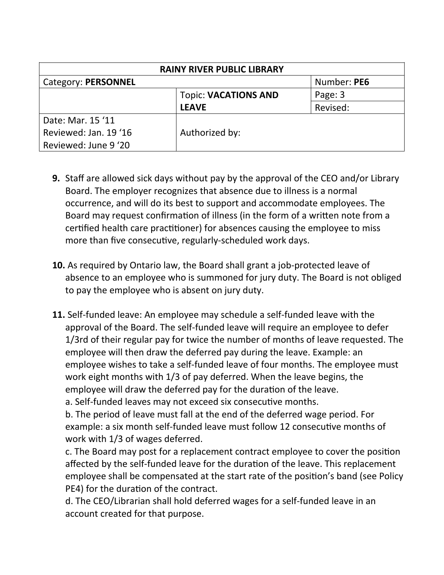| <b>RAINY RIVER PUBLIC LIBRARY</b> |                             |             |  |  |
|-----------------------------------|-----------------------------|-------------|--|--|
| Category: PERSONNEL               |                             | Number: PE6 |  |  |
|                                   | <b>Topic: VACATIONS AND</b> | Page: 3     |  |  |
|                                   | <b>LEAVE</b>                | Revised:    |  |  |
| Date: Mar. 15 '11                 |                             |             |  |  |
| Reviewed: Jan. 19 '16             | Authorized by:              |             |  |  |
| Reviewed: June 9 '20              |                             |             |  |  |

- **9.** Staff are allowed sick days without pay by the approval of the CEO and/or Library Board. The employer recognizes that absence due to illness is a normal occurrence, and will do its best to support and accommodate employees. The Board may request confirmation of illness (in the form of a written note from a certified health care practitioner) for absences causing the employee to miss more than five consecutive, regularly-scheduled work days.
- **10.** As required by Ontario law, the Board shall grant a job-protected leave of absence to an employee who is summoned for jury duty. The Board is not obliged to pay the employee who is absent on jury duty.
- **11.** Self-funded leave: An employee may schedule a self-funded leave with the approval of the Board. The self-funded leave will require an employee to defer 1/3rd of their regular pay for twice the number of months of leave requested. The employee will then draw the deferred pay during the leave. Example: an employee wishes to take a self-funded leave of four months. The employee must work eight months with 1/3 of pay deferred. When the leave begins, the employee will draw the deferred pay for the duration of the leave.

a. Self-funded leaves may not exceed six consecutive months.

b. The period of leave must fall at the end of the deferred wage period. For example: a six month self-funded leave must follow 12 consecutive months of work with 1/3 of wages deferred.

c. The Board may post for a replacement contract employee to cover the position affected by the self-funded leave for the duration of the leave. This replacement employee shall be compensated at the start rate of the position's band (see Policy PE4) for the duration of the contract.

d. The CEO/Librarian shall hold deferred wages for a self-funded leave in an account created for that purpose.